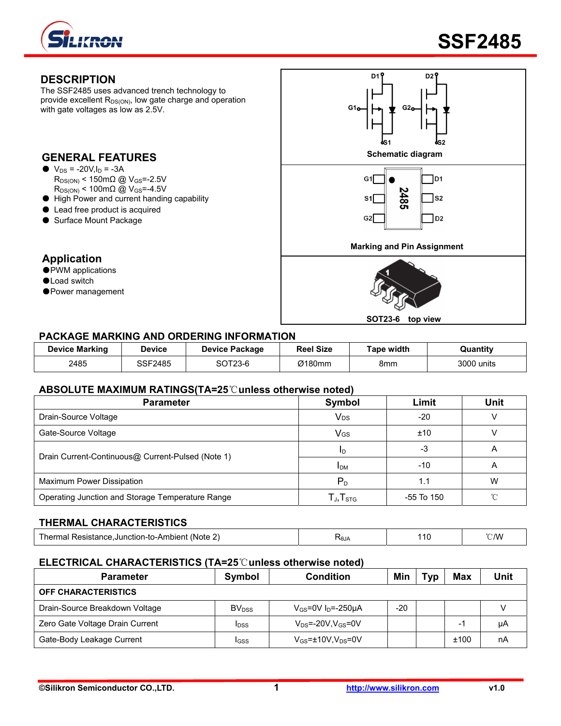



### **DESCRIPTION**

The SSF2485 uses advanced trench technology to provide excellent  $R_{DS(ON)}$ , low gate charge and operation with gate voltages as low as 2.5V.

- $\bullet$  V<sub>DS</sub> = -20V, I<sub>D</sub> = -3A  $R_{DS(ON)}$  < 150m $\Omega$  @ V<sub>GS</sub>=-2.5V  $R_{DS(ON)}$  < 100mΩ @ V<sub>GS</sub>=-4.5V
- High Power and current handing capability
- Lead free product is acquired
- Surface Mount Package

### **Application**

- PWM applications
- ●Load switch
- ●Power management



#### **PACKAGE MARKING AND ORDERING INFORMATION**

| <b>Device Marking</b> | Device  | <b>Device Package</b> | <b>Reel Size</b> | <b>Tape width</b> | Quantity   |
|-----------------------|---------|-----------------------|------------------|-------------------|------------|
| 2485                  | SSF2485 | SOT23-6               | Ø180mm           | 8mm               | 3000 units |

#### **ABSOLUTE MAXIMUM RATINGS(TA=25**℃**unless otherwise noted)**

| <b>Parameter</b>                                  | <b>Symbol</b>                                        | Limit      | <b>Unit</b> |  |
|---------------------------------------------------|------------------------------------------------------|------------|-------------|--|
| Drain-Source Voltage                              | <b>V<sub>DS</sub></b>                                | $-20$      |             |  |
| Gate-Source Voltage                               | VGS                                                  | ±10        |             |  |
|                                                   | ID                                                   | -3         |             |  |
| Drain Current-Continuous@ Current-Pulsed (Note 1) | <b>IDM</b>                                           | $-10$      | A           |  |
| Maximum Power Dissipation                         | $P_{D}$                                              | 1.1        | W           |  |
| Operating Junction and Storage Temperature Range  | $\mathsf{T}_{\mathsf{J}}, \mathsf{T}_{\textsf{STG}}$ | -55 To 150 | $\sim$      |  |

#### **THERMAL CHARACTERISTICS**

| Mote .<br>l her<br>e.Junction-to-Ambient (<br>Resistance.<br>PACICT<br>mai | ≺ፀJA | 10 | $\sim$ AM<br>$\cup$ iv. |
|----------------------------------------------------------------------------|------|----|-------------------------|
|----------------------------------------------------------------------------|------|----|-------------------------|

#### **ELECTRICAL CHARACTERISTICS (TA=25**℃**unless otherwise noted)**

| <b>Parameter</b>                | Symbol                   | <b>Condition</b>                    | Min | Typ | Max                      | Unit |
|---------------------------------|--------------------------|-------------------------------------|-----|-----|--------------------------|------|
| <b>OFF CHARACTERISTICS</b>      |                          |                                     |     |     |                          |      |
| Drain-Source Breakdown Voltage  | <b>BV</b> <sub>DSS</sub> | $V_{GS}$ =0V I <sub>D</sub> =-250µA | -20 |     |                          |      |
| Zero Gate Voltage Drain Current | <b>IDSS</b>              | $V_{DS}$ =-20V,V $_{GS}$ =0V        |     |     | $\overline{\phantom{0}}$ | μA   |
| Gate-Body Leakage Current       | <b>IGSS</b>              | $V_{GS}$ =±10V,V <sub>DS</sub> =0V  |     |     | ±100                     | nA   |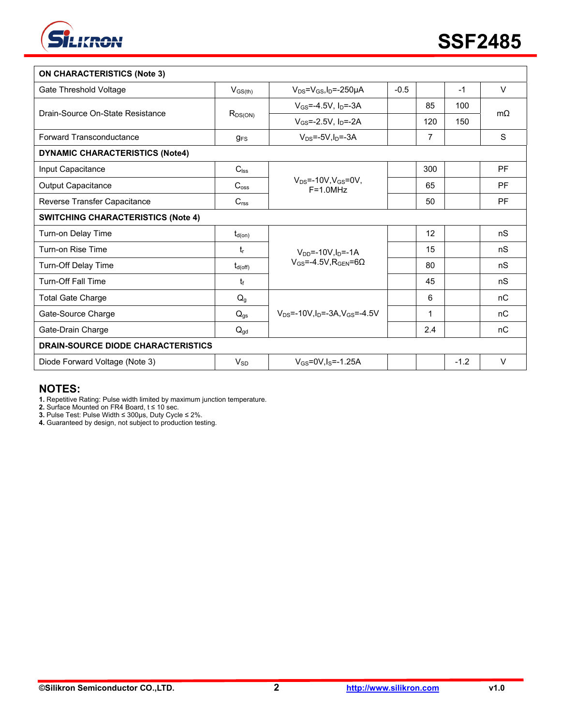

| <b>ON CHARACTERISTICS (Note 3)</b>        |                  |                                                |        |     |        |           |  |
|-------------------------------------------|------------------|------------------------------------------------|--------|-----|--------|-----------|--|
| Gate Threshold Voltage                    | $V_{GS(th)}$     | $V_{DS} = V_{GS}I_D = -250 \mu A$              | $-0.5$ |     | $-1$   | $\vee$    |  |
| Drain-Source On-State Resistance          |                  | $V_{GS} = -4.5V$ , $I_{D} = -3A$               |        | 85  | 100    | $m\Omega$ |  |
|                                           | $R_{DS(ON)}$     | $V_{GS} = -2.5V$ , $I_D = -2A$                 |        | 120 | 150    |           |  |
| <b>Forward Transconductance</b>           | $g_{FS}$         | $V_{DS}$ =-5V, $I_D$ =-3A                      |        | 7   |        | S         |  |
| <b>DYNAMIC CHARACTERISTICS (Note4)</b>    |                  |                                                |        |     |        |           |  |
| Input Capacitance                         | $C_{\text{lss}}$ |                                                |        | 300 |        | <b>PF</b> |  |
| <b>Output Capacitance</b>                 | $C_{\text{oss}}$ | $V_{DS} = -10V, V_{GS} = 0V,$<br>$F = 1.0 MHz$ |        | 65  |        | PF        |  |
| Reverse Transfer Capacitance              | $C_{\text{rss}}$ |                                                |        | 50  |        | PF        |  |
| <b>SWITCHING CHARACTERISTICS (Note 4)</b> |                  |                                                |        |     |        |           |  |
| Turn-on Delay Time                        | $t_{d(on)}$      |                                                |        | 12  |        | nS        |  |
| Turn-on Rise Time                         | tr               | $V_{DD} = -10V \cdot ln = -1A$                 |        | 15  |        | nS        |  |
| Turn-Off Delay Time                       | $t_{d(off)}$     | $V_{GS} = -4.5V$ . RGEN=60                     |        | 80  |        | nS        |  |
| <b>Turn-Off Fall Time</b>                 | t                |                                                |        | 45  |        | nS        |  |
| <b>Total Gate Charge</b>                  | $Q_g$            |                                                |        | 6   |        | nC        |  |
| Gate-Source Charge                        | $Q_{gs}$         | $V_{DS} = -10V I_D = -3A V_{GS} = -4.5V$       |        | 1   |        | nC        |  |
| Gate-Drain Charge                         | $Q_{gd}$         |                                                |        | 2.4 |        | nC        |  |
| <b>DRAIN-SOURCE DIODE CHARACTERISTICS</b> |                  |                                                |        |     |        |           |  |
| Diode Forward Voltage (Note 3)            | $V_{SD}$         | $V_{GS} = 0V$ , $I_S = -1.25A$                 |        |     | $-1.2$ | $\vee$    |  |

# **NOTES:**

**1.** Repetitive Rating: Pulse width limited by maximum junction temperature.

**2.** Surface Mounted on FR4 Board, t ≤ 10 sec.

**3.** Pulse Test: Pulse Width ≤ 300μs, Duty Cycle ≤ 2%.

**4.** Guaranteed by design, not subject to production testing.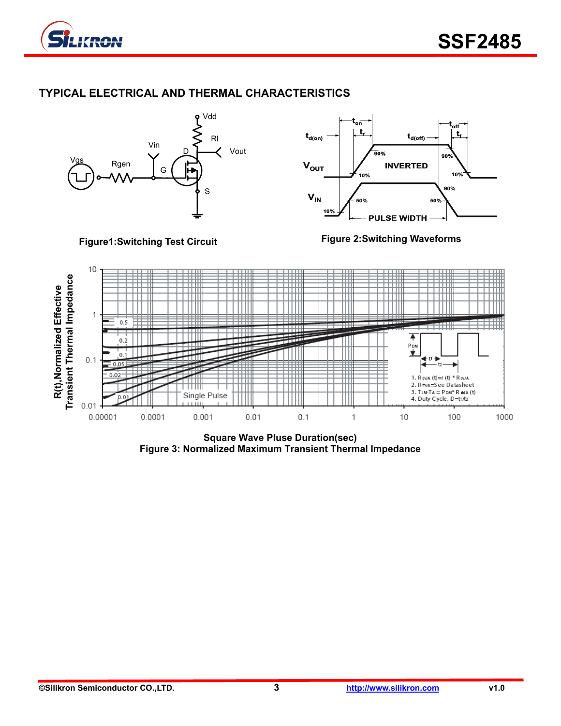

# **TYPICAL ELECTRICAL AND THERMAL CHARACTERISTICS**



**Square Wave Pluse Duration(sec) Figure 3: Normalized Maximum Transient Thermal Impedance**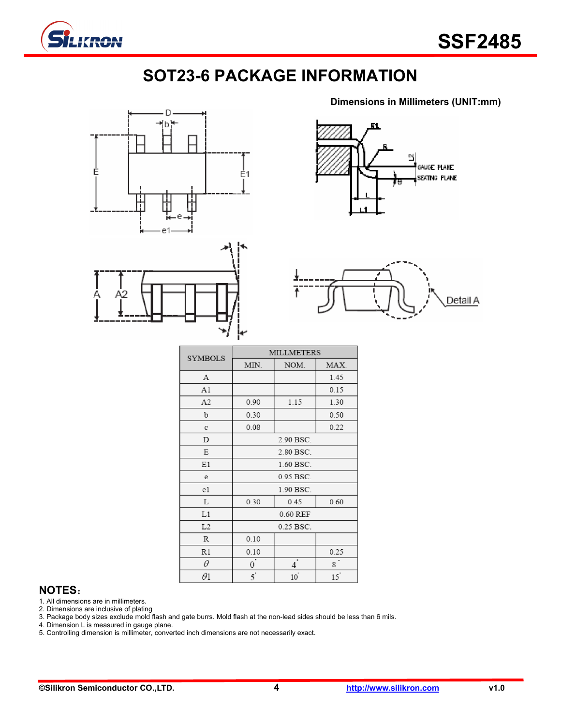

# **SOT23-6 PACKAGE INFORMATION**





Ŋ GAUGE PLANE SEATING PLANE

**Dimensions in Millimeters (UNIT:mm)**



| <b>SYMBOLS</b> | <b>MILLMETERS</b>    |                |            |  |  |  |
|----------------|----------------------|----------------|------------|--|--|--|
|                | MIN.                 | NOM.           | MAX.       |  |  |  |
| А              | 1.45                 |                |            |  |  |  |
| A1             |                      | 0.15           |            |  |  |  |
| A2             | 0.90                 | 1.15           | 1.30       |  |  |  |
| b              | 0.30                 | 0.50           |            |  |  |  |
| c              | 0.08                 |                | 0.22       |  |  |  |
| D              |                      | 2.90 BSC.      |            |  |  |  |
| Ε              | 2.80 BSC.            |                |            |  |  |  |
| E1             | 1.60 BSC.            |                |            |  |  |  |
| e              | 0.95 BSC.            |                |            |  |  |  |
| e1             | 1.90 BSC.            |                |            |  |  |  |
| L              | 0.30<br>0.45<br>0.60 |                |            |  |  |  |
| L1             | 0.60 REF             |                |            |  |  |  |
| L2             | 0.25 BSC.            |                |            |  |  |  |
| R              | 0.10                 |                |            |  |  |  |
| R1             | 0.10                 |                | 0.25       |  |  |  |
| θ              | 0                    | 4              | $^{\circ}$ |  |  |  |
| $\theta$ l     | $\overline{5}$       | $10^{\degree}$ | 15         |  |  |  |

## **NOTES**:

1. All dimensions are in millimeters.

2. Dimensions are inclusive of plating

3. Package body sizes exclude mold flash and gate burrs. Mold flash at the non-lead sides should be less than 6 mils.

4. Dimension L is measured in gauge plane.

5. Controlling dimension is millimeter, converted inch dimensions are not necessarily exact.